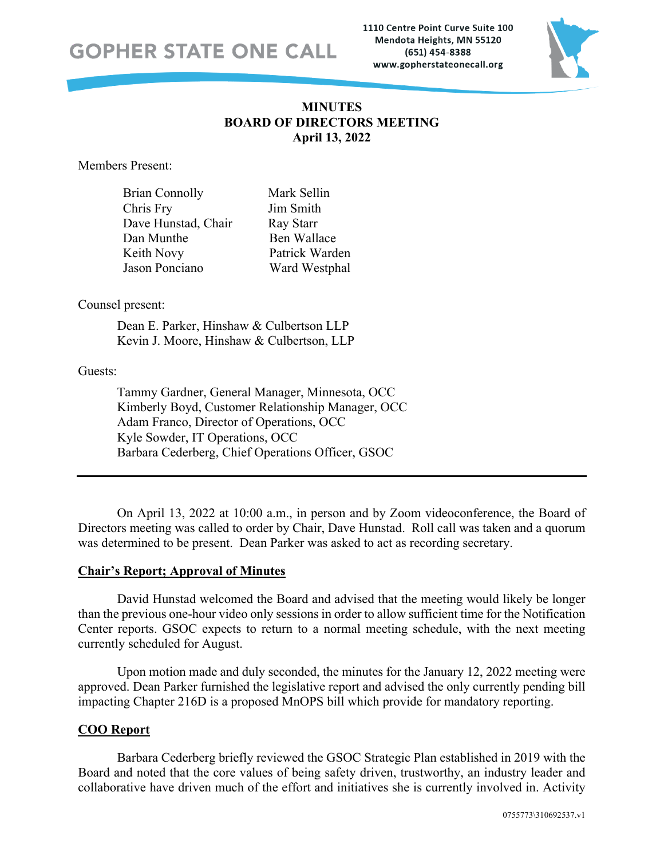1110 Centre Point Curve Suite 100 Mendota Heights, MN 55120 (651) 454-8388 www.gopherstateonecall.org



# **MINUTES BOARD OF DIRECTORS MEETING April 13, 2022**

Members Present:

| <b>Brian Connolly</b> | Mark Sellin    |
|-----------------------|----------------|
| Chris Fry             | Jim Smith      |
| Dave Hunstad, Chair   | Ray Starr      |
| Dan Munthe            | Ben Wallace    |
| Keith Novy            | Patrick Warden |
| Jason Ponciano        | Ward Westphal  |

#### Counsel present:

Dean E. Parker, Hinshaw & Culbertson LLP Kevin J. Moore, Hinshaw & Culbertson, LLP

## Guests:

Tammy Gardner, General Manager, Minnesota, OCC Kimberly Boyd, Customer Relationship Manager, OCC Adam Franco, Director of Operations, OCC Kyle Sowder, IT Operations, OCC Barbara Cederberg, Chief Operations Officer, GSOC

On April 13, 2022 at 10:00 a.m., in person and by Zoom videoconference, the Board of Directors meeting was called to order by Chair, Dave Hunstad. Roll call was taken and a quorum was determined to be present. Dean Parker was asked to act as recording secretary.

# **Chair's Report; Approval of Minutes**

David Hunstad welcomed the Board and advised that the meeting would likely be longer than the previous one-hour video only sessions in order to allow sufficient time for the Notification Center reports. GSOC expects to return to a normal meeting schedule, with the next meeting currently scheduled for August.

Upon motion made and duly seconded, the minutes for the January 12, 2022 meeting were approved. Dean Parker furnished the legislative report and advised the only currently pending bill impacting Chapter 216D is a proposed MnOPS bill which provide for mandatory reporting.

# **COO Report**

Barbara Cederberg briefly reviewed the GSOC Strategic Plan established in 2019 with the Board and noted that the core values of being safety driven, trustworthy, an industry leader and collaborative have driven much of the effort and initiatives she is currently involved in. Activity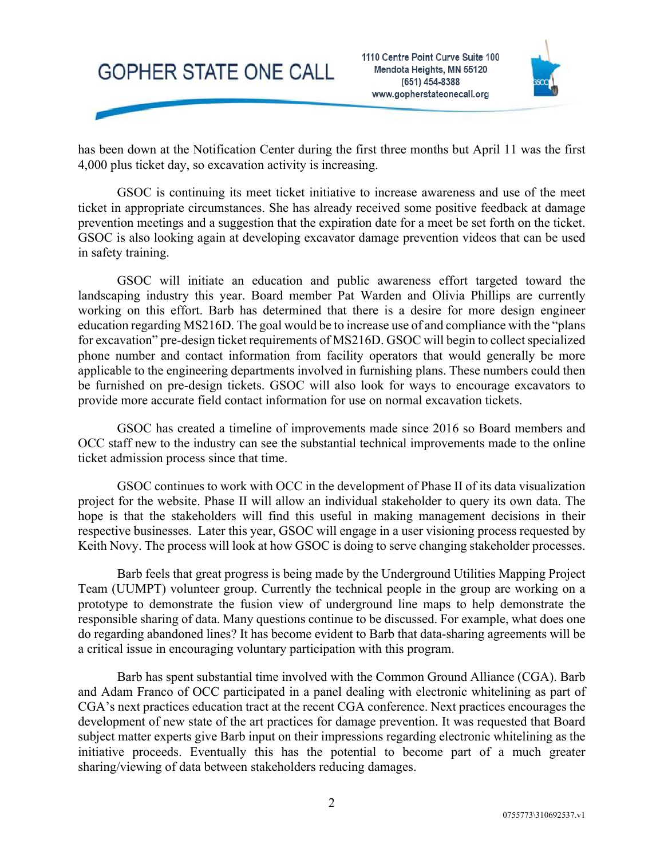



has been down at the Notification Center during the first three months but April 11 was the first 4,000 plus ticket day, so excavation activity is increasing.

GSOC is continuing its meet ticket initiative to increase awareness and use of the meet ticket in appropriate circumstances. She has already received some positive feedback at damage prevention meetings and a suggestion that the expiration date for a meet be set forth on the ticket. GSOC is also looking again at developing excavator damage prevention videos that can be used in safety training.

GSOC will initiate an education and public awareness effort targeted toward the landscaping industry this year. Board member Pat Warden and Olivia Phillips are currently working on this effort. Barb has determined that there is a desire for more design engineer education regarding MS216D. The goal would be to increase use of and compliance with the "plans for excavation" pre-design ticket requirements of MS216D. GSOC will begin to collect specialized phone number and contact information from facility operators that would generally be more applicable to the engineering departments involved in furnishing plans. These numbers could then be furnished on pre-design tickets. GSOC will also look for ways to encourage excavators to provide more accurate field contact information for use on normal excavation tickets.

GSOC has created a timeline of improvements made since 2016 so Board members and OCC staff new to the industry can see the substantial technical improvements made to the online ticket admission process since that time.

GSOC continues to work with OCC in the development of Phase II of its data visualization project for the website. Phase II will allow an individual stakeholder to query its own data. The hope is that the stakeholders will find this useful in making management decisions in their respective businesses. Later this year, GSOC will engage in a user visioning process requested by Keith Novy. The process will look at how GSOC is doing to serve changing stakeholder processes.

Barb feels that great progress is being made by the Underground Utilities Mapping Project Team (UUMPT) volunteer group. Currently the technical people in the group are working on a prototype to demonstrate the fusion view of underground line maps to help demonstrate the responsible sharing of data. Many questions continue to be discussed. For example, what does one do regarding abandoned lines? It has become evident to Barb that data-sharing agreements will be a critical issue in encouraging voluntary participation with this program.

Barb has spent substantial time involved with the Common Ground Alliance (CGA). Barb and Adam Franco of OCC participated in a panel dealing with electronic whitelining as part of CGA's next practices education tract at the recent CGA conference. Next practices encourages the development of new state of the art practices for damage prevention. It was requested that Board subject matter experts give Barb input on their impressions regarding electronic whitelining as the initiative proceeds. Eventually this has the potential to become part of a much greater sharing/viewing of data between stakeholders reducing damages.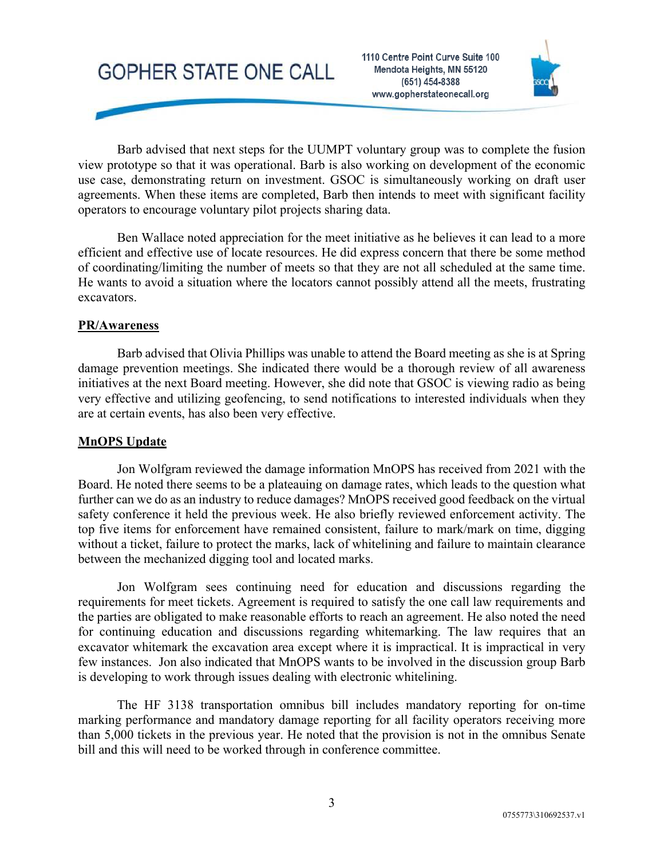1110 Centre Point Curve Suite 100 Mendota Heights, MN 55120 (651) 454-8388 www.gopherstateonecall.org



Barb advised that next steps for the UUMPT voluntary group was to complete the fusion view prototype so that it was operational. Barb is also working on development of the economic use case, demonstrating return on investment. GSOC is simultaneously working on draft user agreements. When these items are completed, Barb then intends to meet with significant facility operators to encourage voluntary pilot projects sharing data.

Ben Wallace noted appreciation for the meet initiative as he believes it can lead to a more efficient and effective use of locate resources. He did express concern that there be some method of coordinating/limiting the number of meets so that they are not all scheduled at the same time. He wants to avoid a situation where the locators cannot possibly attend all the meets, frustrating excavators.

#### **PR/Awareness**

Barb advised that Olivia Phillips was unable to attend the Board meeting as she is at Spring damage prevention meetings. She indicated there would be a thorough review of all awareness initiatives at the next Board meeting. However, she did note that GSOC is viewing radio as being very effective and utilizing geofencing, to send notifications to interested individuals when they are at certain events, has also been very effective.

#### **MnOPS Update**

Jon Wolfgram reviewed the damage information MnOPS has received from 2021 with the Board. He noted there seems to be a plateauing on damage rates, which leads to the question what further can we do as an industry to reduce damages? MnOPS received good feedback on the virtual safety conference it held the previous week. He also briefly reviewed enforcement activity. The top five items for enforcement have remained consistent, failure to mark/mark on time, digging without a ticket, failure to protect the marks, lack of whitelining and failure to maintain clearance between the mechanized digging tool and located marks.

Jon Wolfgram sees continuing need for education and discussions regarding the requirements for meet tickets. Agreement is required to satisfy the one call law requirements and the parties are obligated to make reasonable efforts to reach an agreement. He also noted the need for continuing education and discussions regarding whitemarking. The law requires that an excavator whitemark the excavation area except where it is impractical. It is impractical in very few instances. Jon also indicated that MnOPS wants to be involved in the discussion group Barb is developing to work through issues dealing with electronic whitelining.

The HF 3138 transportation omnibus bill includes mandatory reporting for on-time marking performance and mandatory damage reporting for all facility operators receiving more than 5,000 tickets in the previous year. He noted that the provision is not in the omnibus Senate bill and this will need to be worked through in conference committee.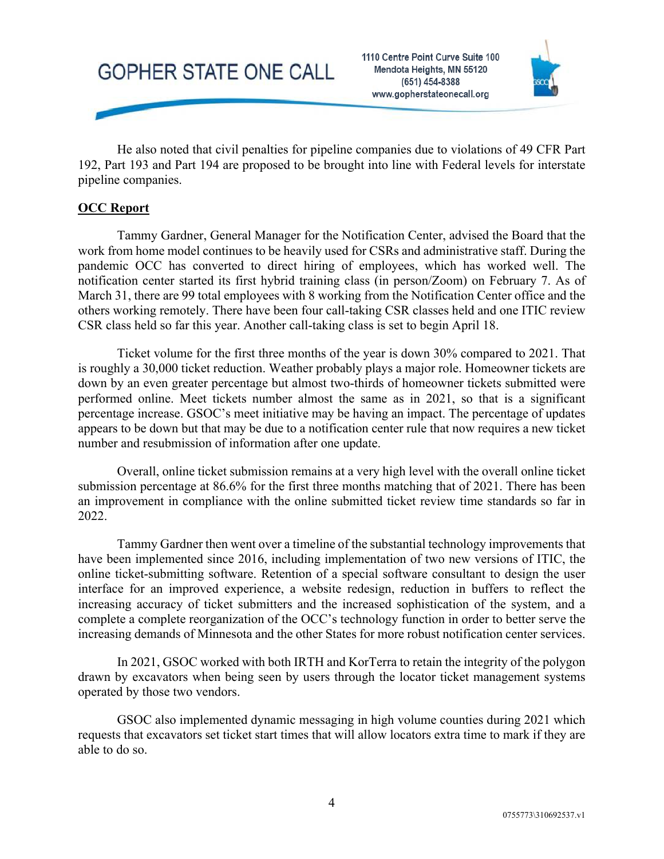

He also noted that civil penalties for pipeline companies due to violations of 49 CFR Part 192, Part 193 and Part 194 are proposed to be brought into line with Federal levels for interstate pipeline companies.

## **OCC Report**

Tammy Gardner, General Manager for the Notification Center, advised the Board that the work from home model continues to be heavily used for CSRs and administrative staff. During the pandemic OCC has converted to direct hiring of employees, which has worked well. The notification center started its first hybrid training class (in person/Zoom) on February 7. As of March 31, there are 99 total employees with 8 working from the Notification Center office and the others working remotely. There have been four call-taking CSR classes held and one ITIC review CSR class held so far this year. Another call-taking class is set to begin April 18.

Ticket volume for the first three months of the year is down 30% compared to 2021. That is roughly a 30,000 ticket reduction. Weather probably plays a major role. Homeowner tickets are down by an even greater percentage but almost two-thirds of homeowner tickets submitted were performed online. Meet tickets number almost the same as in 2021, so that is a significant percentage increase. GSOC's meet initiative may be having an impact. The percentage of updates appears to be down but that may be due to a notification center rule that now requires a new ticket number and resubmission of information after one update.

Overall, online ticket submission remains at a very high level with the overall online ticket submission percentage at 86.6% for the first three months matching that of 2021. There has been an improvement in compliance with the online submitted ticket review time standards so far in 2022.

Tammy Gardner then went over a timeline of the substantial technology improvements that have been implemented since 2016, including implementation of two new versions of ITIC, the online ticket-submitting software. Retention of a special software consultant to design the user interface for an improved experience, a website redesign, reduction in buffers to reflect the increasing accuracy of ticket submitters and the increased sophistication of the system, and a complete a complete reorganization of the OCC's technology function in order to better serve the increasing demands of Minnesota and the other States for more robust notification center services.

In 2021, GSOC worked with both IRTH and KorTerra to retain the integrity of the polygon drawn by excavators when being seen by users through the locator ticket management systems operated by those two vendors.

GSOC also implemented dynamic messaging in high volume counties during 2021 which requests that excavators set ticket start times that will allow locators extra time to mark if they are able to do so.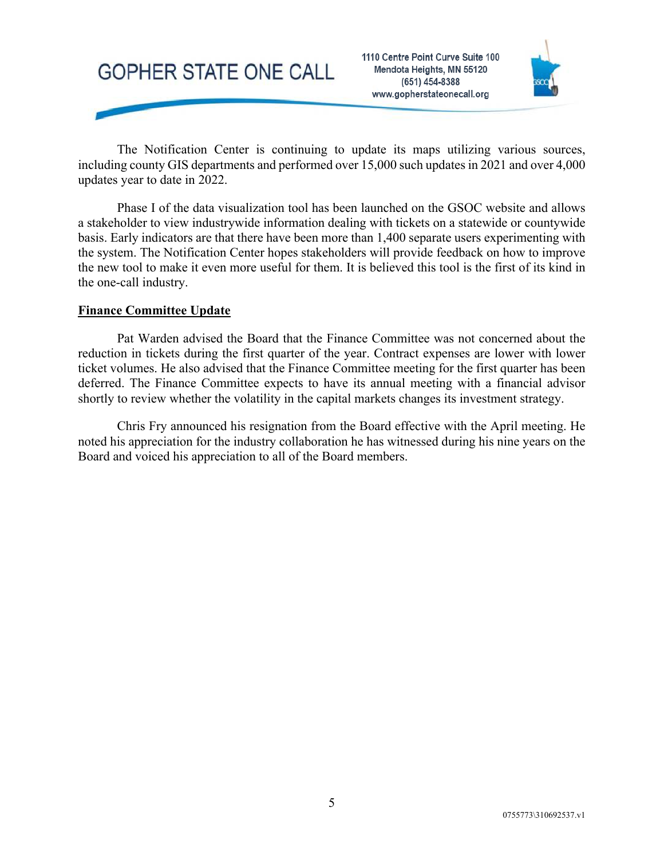

The Notification Center is continuing to update its maps utilizing various sources, including county GIS departments and performed over 15,000 such updates in 2021 and over 4,000 updates year to date in 2022.

Phase I of the data visualization tool has been launched on the GSOC website and allows a stakeholder to view industrywide information dealing with tickets on a statewide or countywide basis. Early indicators are that there have been more than 1,400 separate users experimenting with the system. The Notification Center hopes stakeholders will provide feedback on how to improve the new tool to make it even more useful for them. It is believed this tool is the first of its kind in the one-call industry.

# **Finance Committee Update**

Pat Warden advised the Board that the Finance Committee was not concerned about the reduction in tickets during the first quarter of the year. Contract expenses are lower with lower ticket volumes. He also advised that the Finance Committee meeting for the first quarter has been deferred. The Finance Committee expects to have its annual meeting with a financial advisor shortly to review whether the volatility in the capital markets changes its investment strategy.

Chris Fry announced his resignation from the Board effective with the April meeting. He noted his appreciation for the industry collaboration he has witnessed during his nine years on the Board and voiced his appreciation to all of the Board members.